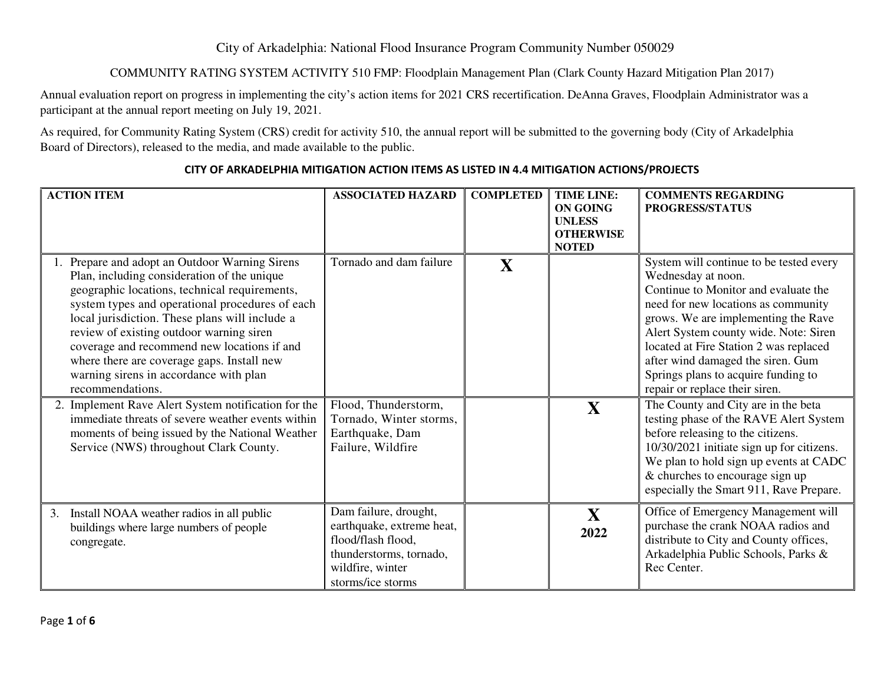## City of Arkadelphia: National Flood Insurance Program Community Number 050029

## COMMUNITY RATING SYSTEM ACTIVITY 510 FMP: Floodplain Management Plan (Clark County Hazard Mitigation Plan 2017)

Annual evaluation report on progress in implementing the city's action items for 2021 CRS recertification. DeAnna Graves, Floodplain Administrator was a participant at the annual report meeting on July 19, 2021.

As required, for Community Rating System (CRS) credit for activity 510, the annual report will be submitted to the governing body (City of Arkadelphia Board of Directors), released to the media, and made available to the public.

| <b>ACTION ITEM</b>                                                                                                                                                                                                                                                                                                                                                                                                                                                                                                                                                                                                                                                  | <b>ASSOCIATED HAZARD</b>                                                                                                                     | <b>COMPLETED</b> | <b>TIME LINE:</b><br><b>ON GOING</b><br><b>UNLESS</b><br><b>OTHERWISE</b><br><b>NOTED</b> | <b>COMMENTS REGARDING</b><br>PROGRESS/STATUS                                                                                                                                                                                                                                                                                                                                                                                                                                                                                                                                                                                                                                    |
|---------------------------------------------------------------------------------------------------------------------------------------------------------------------------------------------------------------------------------------------------------------------------------------------------------------------------------------------------------------------------------------------------------------------------------------------------------------------------------------------------------------------------------------------------------------------------------------------------------------------------------------------------------------------|----------------------------------------------------------------------------------------------------------------------------------------------|------------------|-------------------------------------------------------------------------------------------|---------------------------------------------------------------------------------------------------------------------------------------------------------------------------------------------------------------------------------------------------------------------------------------------------------------------------------------------------------------------------------------------------------------------------------------------------------------------------------------------------------------------------------------------------------------------------------------------------------------------------------------------------------------------------------|
| 1. Prepare and adopt an Outdoor Warning Sirens<br>Plan, including consideration of the unique<br>geographic locations, technical requirements,<br>system types and operational procedures of each<br>local jurisdiction. These plans will include a<br>review of existing outdoor warning siren<br>coverage and recommend new locations if and<br>where there are coverage gaps. Install new<br>warning sirens in accordance with plan<br>recommendations.<br>2. Implement Rave Alert System notification for the<br>immediate threats of severe weather events within<br>moments of being issued by the National Weather<br>Service (NWS) throughout Clark County. | Tornado and dam failure<br>Flood, Thunderstorm,<br>Tornado, Winter storms,<br>Earthquake, Dam<br>Failure, Wildfire                           | X                | X                                                                                         | System will continue to be tested every<br>Wednesday at noon.<br>Continue to Monitor and evaluate the<br>need for new locations as community<br>grows. We are implementing the Rave<br>Alert System county wide. Note: Siren<br>located at Fire Station 2 was replaced<br>after wind damaged the siren. Gum<br>Springs plans to acquire funding to<br>repair or replace their siren.<br>The County and City are in the beta<br>testing phase of the RAVE Alert System<br>before releasing to the citizens.<br>10/30/2021 initiate sign up for citizens.<br>We plan to hold sign up events at CADC<br>& churches to encourage sign up<br>especially the Smart 911, Rave Prepare. |
| 3.<br>Install NOAA weather radios in all public<br>buildings where large numbers of people<br>congregate.                                                                                                                                                                                                                                                                                                                                                                                                                                                                                                                                                           | Dam failure, drought,<br>earthquake, extreme heat,<br>flood/flash flood,<br>thunderstorms, tornado,<br>wildfire, winter<br>storms/ice storms |                  | X<br>2022                                                                                 | Office of Emergency Management will<br>purchase the crank NOAA radios and<br>distribute to City and County offices,<br>Arkadelphia Public Schools, Parks &<br>Rec Center.                                                                                                                                                                                                                                                                                                                                                                                                                                                                                                       |

## **CITY OF ARKADELPHIA MITIGATION ACTION ITEMS AS LISTED IN 4.4 MITIGATION ACTIONS/PROJECTS**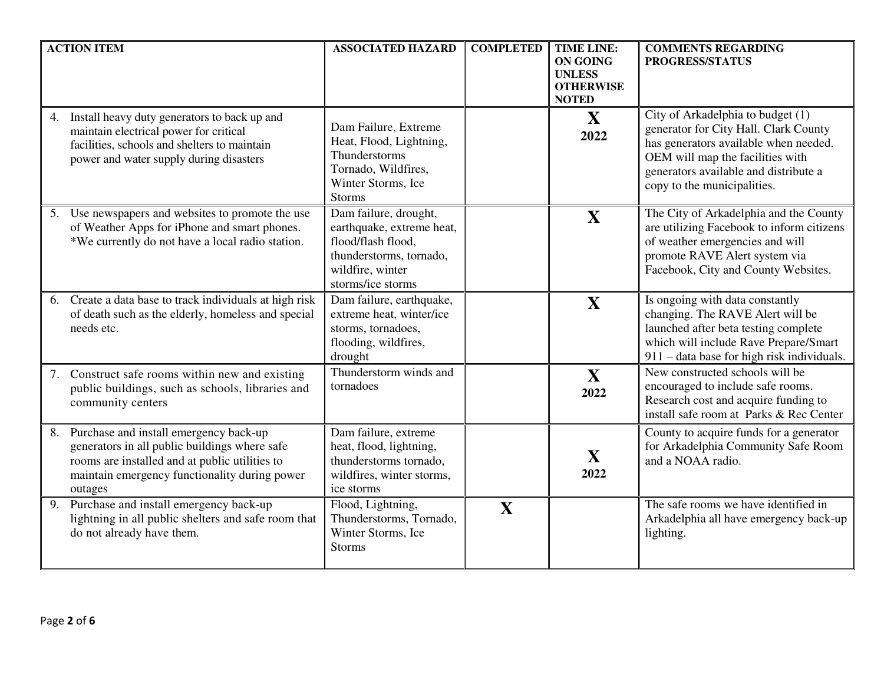| <b>ACTION ITEM</b>                                                                                                                                                                                          | <b>ASSOCIATED HAZARD</b>                                                                                                                     | <b>COMPLETED</b> | <b>TIME LINE:</b><br><b>ON GOING</b><br><b>UNLESS</b><br><b>OTHERWISE</b><br><b>NOTED</b> | <b>COMMENTS REGARDING</b><br>PROGRESS/STATUS                                                                                                                                                                                    |
|-------------------------------------------------------------------------------------------------------------------------------------------------------------------------------------------------------------|----------------------------------------------------------------------------------------------------------------------------------------------|------------------|-------------------------------------------------------------------------------------------|---------------------------------------------------------------------------------------------------------------------------------------------------------------------------------------------------------------------------------|
| Install heavy duty generators to back up and<br>4.<br>maintain electrical power for critical<br>facilities, schools and shelters to maintain<br>power and water supply during disasters                     | Dam Failure, Extreme<br>Heat, Flood, Lightning,<br>Thunderstorms<br>Tornado, Wildfires,<br>Winter Storms, Ice<br><b>Storms</b>               |                  | X<br>2022                                                                                 | City of Arkadelphia to budget (1)<br>generator for City Hall. Clark County<br>has generators available when needed.<br>OEM will map the facilities with<br>generators available and distribute a<br>copy to the municipalities. |
| Use newspapers and websites to promote the use<br>5.<br>of Weather Apps for iPhone and smart phones.<br>*We currently do not have a local radio station.                                                    | Dam failure, drought,<br>earthquake, extreme heat,<br>flood/flash flood,<br>thunderstorms, tornado,<br>wildfire, winter<br>storms/ice storms |                  | X                                                                                         | The City of Arkadelphia and the County<br>are utilizing Facebook to inform citizens<br>of weather emergencies and will<br>promote RAVE Alert system via<br>Facebook, City and County Websites.                                  |
| Create a data base to track individuals at high risk<br>6.<br>of death such as the elderly, homeless and special<br>needs etc.                                                                              | Dam failure, earthquake,<br>extreme heat, winter/ice<br>storms, tornadoes,<br>flooding, wildfires,<br>drought                                |                  | X                                                                                         | Is ongoing with data constantly<br>changing. The RAVE Alert will be<br>launched after beta testing complete<br>which will include Rave Prepare/Smart<br>911 – data base for high risk individuals.                              |
| 7. Construct safe rooms within new and existing<br>public buildings, such as schools, libraries and<br>community centers                                                                                    | Thunderstorm winds and<br>tornadoes                                                                                                          |                  | X<br>2022                                                                                 | New constructed schools will be<br>encouraged to include safe rooms.<br>Research cost and acquire funding to<br>install safe room at Parks & Rec Center                                                                         |
| Purchase and install emergency back-up<br>8.<br>generators in all public buildings where safe<br>rooms are installed and at public utilities to<br>maintain emergency functionality during power<br>outages | Dam failure, extreme<br>heat, flood, lightning,<br>thunderstorms tornado,<br>wildfires, winter storms,<br>ice storms                         |                  | X<br>2022                                                                                 | County to acquire funds for a generator<br>for Arkadelphia Community Safe Room<br>and a NOAA radio.                                                                                                                             |
| Purchase and install emergency back-up<br>9.<br>lightning in all public shelters and safe room that<br>do not already have them.                                                                            | Flood, Lightning,<br>Thunderstorms, Tornado,<br>Winter Storms, Ice<br><b>Storms</b>                                                          | X                |                                                                                           | The safe rooms we have identified in<br>Arkadelphia all have emergency back-up<br>lighting.                                                                                                                                     |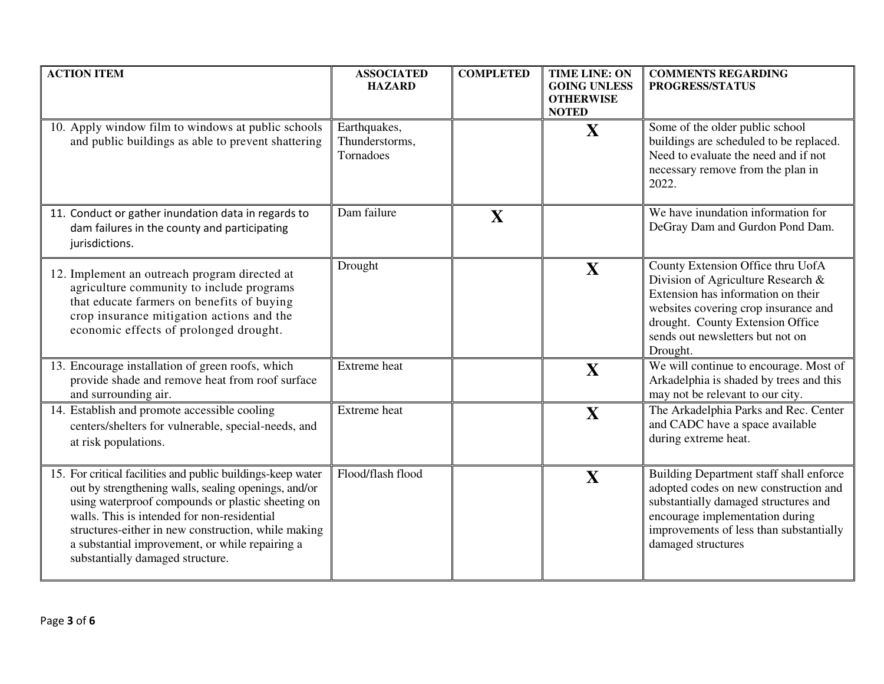| <b>ACTION ITEM</b>                                                                                                                                                                                                                                                                                                                                                    | <b>ASSOCIATED</b><br><b>HAZARD</b>          | <b>COMPLETED</b> | <b>TIME LINE: ON</b><br><b>GOING UNLESS</b><br><b>OTHERWISE</b><br><b>NOTED</b> | <b>COMMENTS REGARDING</b><br>PROGRESS/STATUS                                                                                                                                                                                              |
|-----------------------------------------------------------------------------------------------------------------------------------------------------------------------------------------------------------------------------------------------------------------------------------------------------------------------------------------------------------------------|---------------------------------------------|------------------|---------------------------------------------------------------------------------|-------------------------------------------------------------------------------------------------------------------------------------------------------------------------------------------------------------------------------------------|
| 10. Apply window film to windows at public schools<br>and public buildings as able to prevent shattering                                                                                                                                                                                                                                                              | Earthquakes,<br>Thunderstorms,<br>Tornadoes |                  | X                                                                               | Some of the older public school<br>buildings are scheduled to be replaced.<br>Need to evaluate the need and if not<br>necessary remove from the plan in<br>2022.                                                                          |
| 11. Conduct or gather inundation data in regards to<br>dam failures in the county and participating<br>jurisdictions.                                                                                                                                                                                                                                                 | Dam failure                                 | X                |                                                                                 | We have inundation information for<br>DeGray Dam and Gurdon Pond Dam.                                                                                                                                                                     |
| 12. Implement an outreach program directed at<br>agriculture community to include programs<br>that educate farmers on benefits of buying<br>crop insurance mitigation actions and the<br>economic effects of prolonged drought.                                                                                                                                       | Drought                                     |                  | X                                                                               | County Extension Office thru UofA<br>Division of Agriculture Research &<br>Extension has information on their<br>websites covering crop insurance and<br>drought. County Extension Office<br>sends out newsletters but not on<br>Drought. |
| 13. Encourage installation of green roofs, which<br>provide shade and remove heat from roof surface<br>and surrounding air.                                                                                                                                                                                                                                           | <b>Extreme</b> heat                         |                  | X                                                                               | We will continue to encourage. Most of<br>Arkadelphia is shaded by trees and this<br>may not be relevant to our city.                                                                                                                     |
| 14. Establish and promote accessible cooling<br>centers/shelters for vulnerable, special-needs, and<br>at risk populations.                                                                                                                                                                                                                                           | Extreme heat                                |                  | X                                                                               | The Arkadelphia Parks and Rec. Center<br>and CADC have a space available<br>during extreme heat.                                                                                                                                          |
| 15. For critical facilities and public buildings-keep water<br>out by strengthening walls, sealing openings, and/or<br>using waterproof compounds or plastic sheeting on<br>walls. This is intended for non-residential<br>structures-either in new construction, while making<br>a substantial improvement, or while repairing a<br>substantially damaged structure. | Flood/flash flood                           |                  | X                                                                               | Building Department staff shall enforce<br>adopted codes on new construction and<br>substantially damaged structures and<br>encourage implementation during<br>improvements of less than substantially<br>damaged structures              |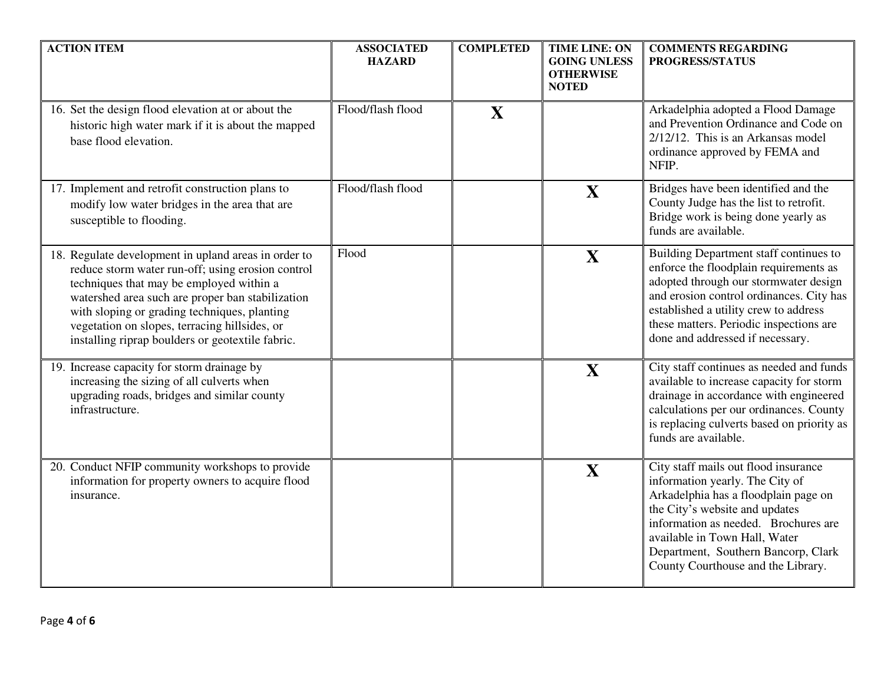| <b>ACTION ITEM</b>                                                                                                                                                                                                                                                                                                                                             | <b>ASSOCIATED</b><br><b>HAZARD</b> | <b>COMPLETED</b> | <b>TIME LINE: ON</b><br><b>GOING UNLESS</b><br><b>OTHERWISE</b><br><b>NOTED</b> | <b>COMMENTS REGARDING</b><br>PROGRESS/STATUS                                                                                                                                                                                                                                                            |
|----------------------------------------------------------------------------------------------------------------------------------------------------------------------------------------------------------------------------------------------------------------------------------------------------------------------------------------------------------------|------------------------------------|------------------|---------------------------------------------------------------------------------|---------------------------------------------------------------------------------------------------------------------------------------------------------------------------------------------------------------------------------------------------------------------------------------------------------|
| 16. Set the design flood elevation at or about the<br>historic high water mark if it is about the mapped<br>base flood elevation.                                                                                                                                                                                                                              | Flood/flash flood                  | X                |                                                                                 | Arkadelphia adopted a Flood Damage<br>and Prevention Ordinance and Code on<br>$2/12/12$ . This is an Arkansas model<br>ordinance approved by FEMA and<br>NFIP.                                                                                                                                          |
| 17. Implement and retrofit construction plans to<br>modify low water bridges in the area that are<br>susceptible to flooding.                                                                                                                                                                                                                                  | Flood/flash flood                  |                  | X                                                                               | Bridges have been identified and the<br>County Judge has the list to retrofit.<br>Bridge work is being done yearly as<br>funds are available.                                                                                                                                                           |
| 18. Regulate development in upland areas in order to<br>reduce storm water run-off; using erosion control<br>techniques that may be employed within a<br>watershed area such are proper ban stabilization<br>with sloping or grading techniques, planting<br>vegetation on slopes, terracing hillsides, or<br>installing riprap boulders or geotextile fabric. | Flood                              |                  | X                                                                               | Building Department staff continues to<br>enforce the floodplain requirements as<br>adopted through our stormwater design<br>and erosion control ordinances. City has<br>established a utility crew to address<br>these matters. Periodic inspections are<br>done and addressed if necessary.           |
| 19. Increase capacity for storm drainage by<br>increasing the sizing of all culverts when<br>upgrading roads, bridges and similar county<br>infrastructure.                                                                                                                                                                                                    |                                    |                  | X                                                                               | City staff continues as needed and funds<br>available to increase capacity for storm<br>drainage in accordance with engineered<br>calculations per our ordinances. County<br>is replacing culverts based on priority as<br>funds are available.                                                         |
| 20. Conduct NFIP community workshops to provide<br>information for property owners to acquire flood<br>insurance.                                                                                                                                                                                                                                              |                                    |                  | X                                                                               | City staff mails out flood insurance<br>information yearly. The City of<br>Arkadelphia has a floodplain page on<br>the City's website and updates<br>information as needed. Brochures are<br>available in Town Hall, Water<br>Department, Southern Bancorp, Clark<br>County Courthouse and the Library. |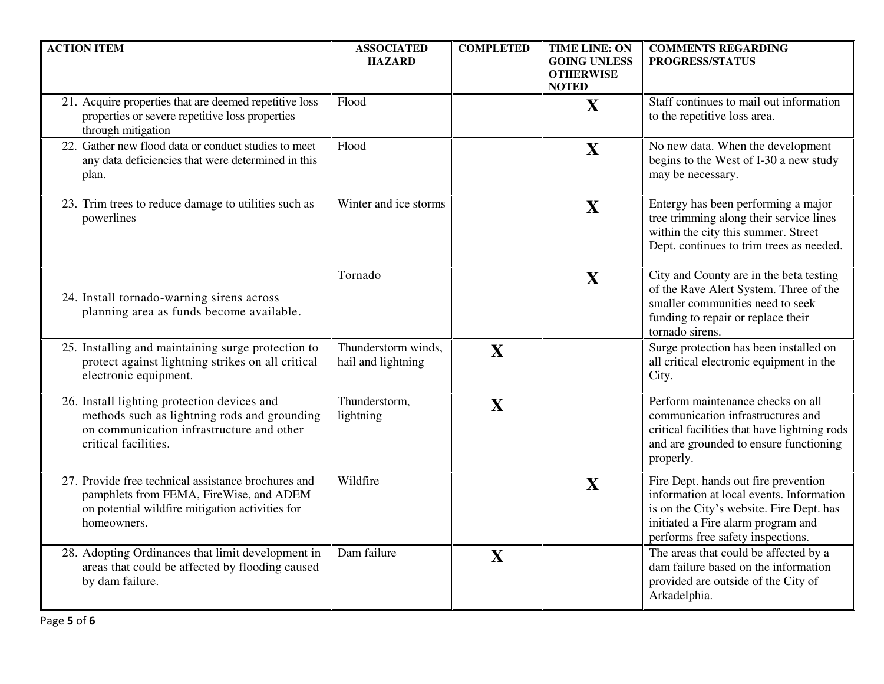| <b>ACTION ITEM</b>                                                                                                                                               | <b>ASSOCIATED</b><br><b>HAZARD</b>        | <b>COMPLETED</b> | <b>TIME LINE: ON</b><br><b>GOING UNLESS</b><br><b>OTHERWISE</b><br><b>NOTED</b> | <b>COMMENTS REGARDING</b><br>PROGRESS/STATUS                                                                                                                                                            |
|------------------------------------------------------------------------------------------------------------------------------------------------------------------|-------------------------------------------|------------------|---------------------------------------------------------------------------------|---------------------------------------------------------------------------------------------------------------------------------------------------------------------------------------------------------|
| 21. Acquire properties that are deemed repetitive loss<br>properties or severe repetitive loss properties<br>through mitigation                                  | Flood                                     |                  | X                                                                               | Staff continues to mail out information<br>to the repetitive loss area.                                                                                                                                 |
| 22. Gather new flood data or conduct studies to meet<br>any data deficiencies that were determined in this<br>plan.                                              | Flood                                     |                  | X                                                                               | No new data. When the development<br>begins to the West of I-30 a new study<br>may be necessary.                                                                                                        |
| 23. Trim trees to reduce damage to utilities such as<br>powerlines                                                                                               | Winter and ice storms                     |                  | X                                                                               | Entergy has been performing a major<br>tree trimming along their service lines<br>within the city this summer. Street<br>Dept. continues to trim trees as needed.                                       |
| 24. Install tornado-warning sirens across<br>planning area as funds become available.                                                                            | Tornado                                   |                  | X                                                                               | City and County are in the beta testing<br>of the Rave Alert System. Three of the<br>smaller communities need to seek<br>funding to repair or replace their<br>tornado sirens.                          |
| 25. Installing and maintaining surge protection to<br>protect against lightning strikes on all critical<br>electronic equipment.                                 | Thunderstorm winds,<br>hail and lightning | X                |                                                                                 | Surge protection has been installed on<br>all critical electronic equipment in the<br>City.                                                                                                             |
| 26. Install lighting protection devices and<br>methods such as lightning rods and grounding<br>on communication infrastructure and other<br>critical facilities. | Thunderstorm,<br>lightning                | X                |                                                                                 | Perform maintenance checks on all<br>communication infrastructures and<br>critical facilities that have lightning rods<br>and are grounded to ensure functioning<br>properly.                           |
| 27. Provide free technical assistance brochures and<br>pamphlets from FEMA, FireWise, and ADEM<br>on potential wildfire mitigation activities for<br>homeowners. | Wildfire                                  |                  | X                                                                               | Fire Dept. hands out fire prevention<br>information at local events. Information<br>is on the City's website. Fire Dept. has<br>initiated a Fire alarm program and<br>performs free safety inspections. |
| 28. Adopting Ordinances that limit development in<br>areas that could be affected by flooding caused<br>by dam failure.                                          | Dam failure                               | X                |                                                                                 | The areas that could be affected by a<br>dam failure based on the information<br>provided are outside of the City of<br>Arkadelphia.                                                                    |